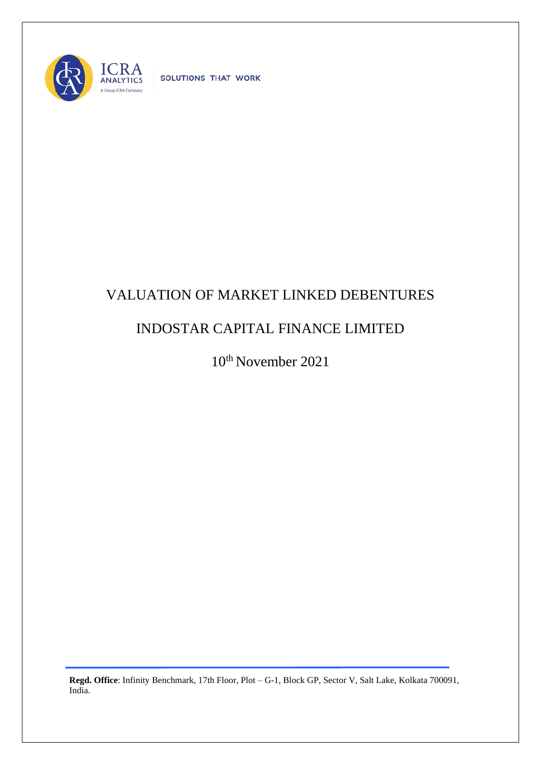

SOLUTIONS THAT WORK

## VALUATION OF MARKET LINKED DEBENTURES

## INDOSTAR CAPITAL FINANCE LIMITED

10th November 2021

**Regd. Office**: Infinity Benchmark, 17th Floor, Plot – G-1, Block GP, Sector V, Salt Lake, Kolkata 700091, India.